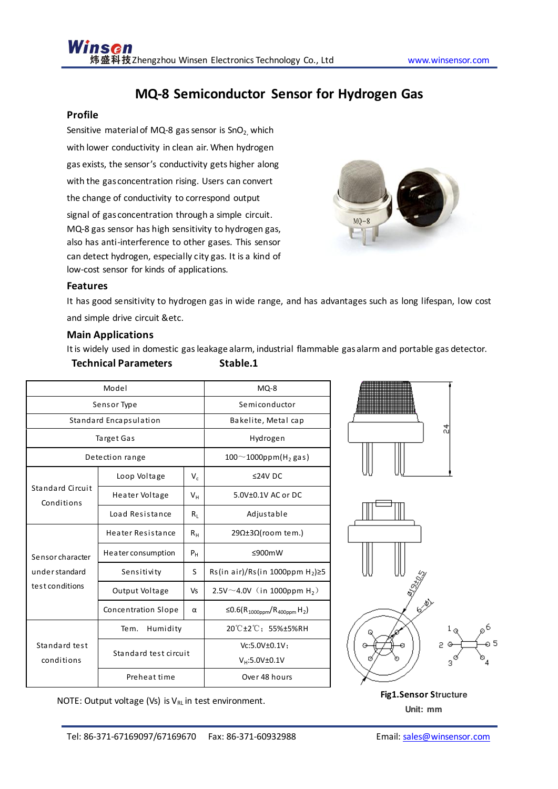# **MQ-8 Semiconductor Sensor for Hydrogen Gas**

# **Profile**

Sensitive material of MQ-8 gas sensor is  $SnO<sub>2</sub>$  which with lower conductivity in clean air. When hydrogen gas exists, the sensor's conductivity gets higher along with the gas concentration rising. Users can convert the change of conductivity to correspond output signal of gas concentration through a simple circuit. MQ-8 gas sensor has high sensitivity to hydrogen gas, also has anti-interference to other gases. This sensor can detect hydrogen, especially city gas. It is a kind of low-cost sensor for kinds of applications.



# **Features**

It has good sensitivity to hydrogen gas in wide range, and has advantages such as long lifespan, low cost and simple drive circuit &etc.

# **Main Applications**

It is widely used in domestic gas leakage alarm, industrial flammable gas alarm and portable gas detector.

# **Technical Parameters Stable.1**

| Model                                                |                            |                | $MQ-8$                                                          |
|------------------------------------------------------|----------------------------|----------------|-----------------------------------------------------------------|
| Sensor Type                                          |                            |                | Semiconductor                                                   |
| Standard Encapsulation                               |                            |                | Bakelite, Metal cap                                             |
| Target Gas                                           |                            |                | Hydrogen                                                        |
| Detection range                                      |                            |                | $100^{\sim}1000$ ppm(H <sub>2</sub> gas)                        |
| Standard Circuit<br>Conditions                       | Loop Voltage               | $V_{c}$        | $≤24V$ DC                                                       |
|                                                      | Heater Voltage             | $V_{H}$        | $5.0V\pm0.1V$ AC or DC                                          |
|                                                      | Load Resistance            | $R_1$          | Adjustable                                                      |
|                                                      | Heater Resistance          | $R_{H}$        | 29Ω±3Ω(room tem.)                                               |
| Sensor character<br>understandard<br>test conditions | Heater consumption         | P <sub>H</sub> | ≤900mW                                                          |
|                                                      | Sensitivity                | S              | Rs(in air)/Rs(in 1000ppm $H_2$ ) $\geq$ 5                       |
|                                                      | Output Voltage             | <b>Vs</b>      | $2.5V^{\sim}4.0V$ (in 1000ppm H <sub>2</sub> )                  |
|                                                      | <b>Concentration Slope</b> | $\alpha$       | ≤0.6(R <sub>1000ppm</sub> /R <sub>400ppm</sub> H <sub>2</sub> ) |
| Standard test<br>conditions                          | Humidity<br>Tem.           |                | 20°C±2°C; 55%±5%RH                                              |
|                                                      | Standard test circuit      |                | Vc:5.0V±0.1V;                                                   |
|                                                      |                            |                | $V_H:5.0V \pm 0.1V$                                             |
|                                                      | Preheat time               |                | Over 48 hours                                                   |

NOTE: Output voltage (Vs) is V<sub>RL</sub> in test environment. **Fig1.Sensor Structure Fig1.Sensor Structure** 

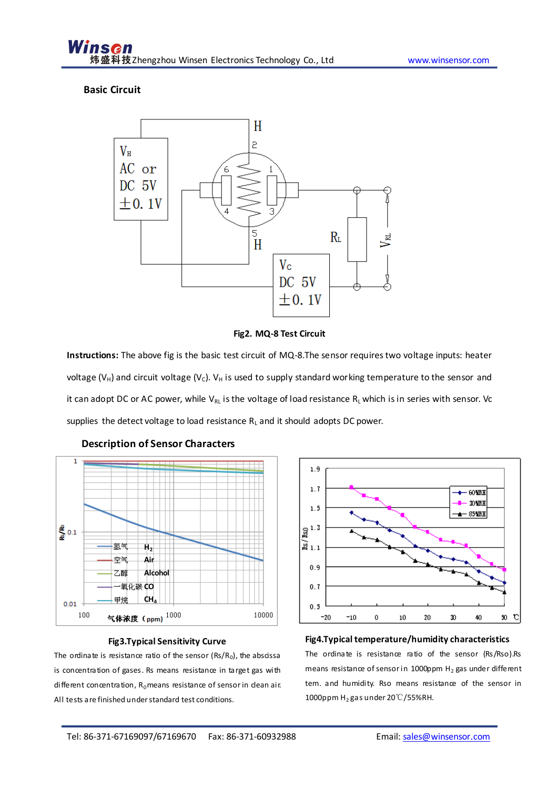### **Basic Circuit**



**Fig2. MQ-8 Test Circuit** 

**Instructions:** The above fig is the basic test circuit of MQ-8.The sensor requires two voltage inputs: heater voltage ( $V_H$ ) and circuit voltage ( $V_C$ ).  $V_H$  is used to supply standard working temperature to the sensor and it can adopt DC or AC power, while VRL is the voltage of load resistance RL which is in series with sensor. Vc supplies the detect voltage to load resistance  $R_L$  and it should adopts DC power.



#### **Description of Sensor Characters**

# **Fig3.Typical Sensitivity Curve**

 All tests are finished under standard test conditions. The ordinate is resistance ratio of the sensor  $(Rs/R_0)$ , the abscissa is concentration of gases. Rs means resistance in target gas with different concentration,  $R_0$  means resistance of sensor in dean air.



# **Fig4.Typical temperature/humidity characteristics** The ordinate is resistance ratio of the sensor (Rs/Rso).Rs means resistance of sensor in 1000ppm  $H_2$  gas under different tem. and humidity. Rso means resistance of the sensor in 1000ppm  $H_2$  gas under 20℃/55%RH.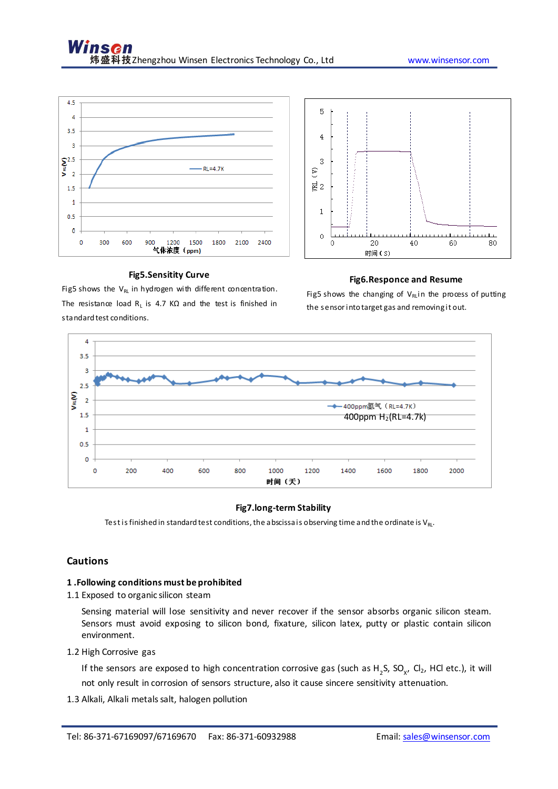

#### **Fig5.Sensitity Curve**

5  $\overline{4}$ 3 S 럲2  $\mathbf{1}$  $\circ$  $\ddot{\rm{o}}$ 20  $40$ 60 80 时间(S)

#### **Fig6.Responce and Resume**

Fig5 shows the  $V_{RL}$  in hydrogen with different concentration. The resistance load  $R_L$  is 4.7 K $\Omega$  and the test is finished in standard test conditions.

Fig5 shows the changing of  $V_{RI}$  in the process of putting the sensor into target gas and removing it out.



#### **Fig7.long-term Stability**

Test is finished in standard test conditions, the abscissa is observing time and the ordinate is  $V_{RL}$ .

### **Cautions**

#### **1 .Following conditions must be prohibited**

1.1 Exposed to organic silicon steam

Sensing material will lose sensitivity and never recover if the sensor absorbs organic silicon steam. Sensors must avoid exposing to silicon bond, fixature, silicon latex, putty or plastic contain silicon environment.

1.2 High Corrosive gas

If the sensors are exposed to high concentration corrosive gas (such as H<sub>2</sub>S, SO<sub>x</sub>, Cl<sub>2</sub>, HCl etc.), it will not only result in corrosion of sensors structure, also it cause sincere sensitivity attenuation.

1.3 Alkali, Alkali metals salt, halogen pollution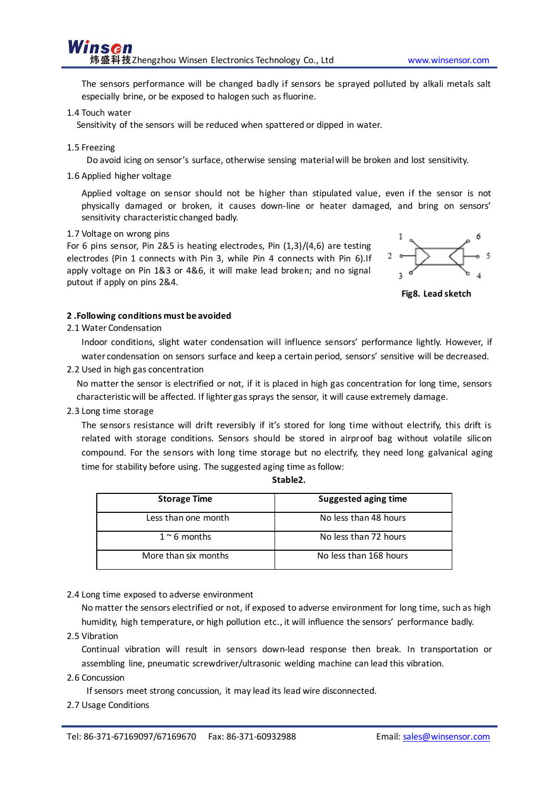The sensors performance will be changed badly if sensors be sprayed polluted by alkali metals salt especially brine, or be exposed to halogen such as fluorine.

1.4 Touch water

Sensitivity of the sensors will be reduced when spattered or dipped in water.

1.5 Freezing

Do avoid icing on sensor's surface, otherwise sensing material will be broken and lost sensitivity.

1.6 Applied higher voltage

Applied voltage on sensor should not be higher than stipulated value, even if the sensor is not physically damaged or broken, it causes down-line or heater damaged, and bring on sensors' sensitivity characteristic changed badly.

#### 1.7 Voltage on wrong pins

For 6 pins sensor, Pin 2&5 is heating electrodes, Pin (1,3)/(4,6) are testing electrodes (Pin 1 connects with Pin 3, while Pin 4 connects with Pin 6).If apply voltage on Pin 1&3 or 4&6, it will make lead broken; and no signal putout if apply on pins 2&4.



**Fig8. Lead sketch** 

#### **2 .Following conditions must be avoided**

2.1 Water Condensation

 Indoor conditions, slight water condensation will influence sensors' performance lightly. However, if water condensation on sensors surface and keep a certain period, sensors' sensitive will be decreased.

2.2 Used in high gas concentration

No matter the sensor is electrified or not, if it is placed in high gas concentration for long time, sensors characteristic will be affected. If lighter gas sprays the sensor, it will cause extremely damage.

2.3 Long time storage

 The sensors resistance will drift reversibly if it's stored for long time without electrify, this drift is related with storage conditions. Sensors should be stored in airproof bag without volatile silicon compound. For the sensors with long time storage but no electrify, they need long galvanical aging time for stability before using. The suggested aging time as follow:

| Stable <sub>2</sub> |  |
|---------------------|--|
|                     |  |

| <b>Storage Time</b>  | <b>Suggested aging time</b> |
|----------------------|-----------------------------|
| Less than one month  | No less than 48 hours       |
| $1 \sim 6$ months    | No less than 72 hours       |
| More than six months | No less than 168 hours      |

2.4 Long time exposed to adverse environment

 No matter the sensors electrified or not, if exposed to adverse environment for long time, such as high humidity, high temperature, or high pollution etc., it will influence the sensors' performance badly.

2.5 Vibration

Continual vibration will result in sensors down-lead response then break. In transportation or assembling line, pneumatic screwdriver/ultrasonic welding machine can lead this vibration.

2.6 Concussion

If sensors meet strong concussion, it may lead its lead wire disconnected.

#### 2.7 Usage Conditions